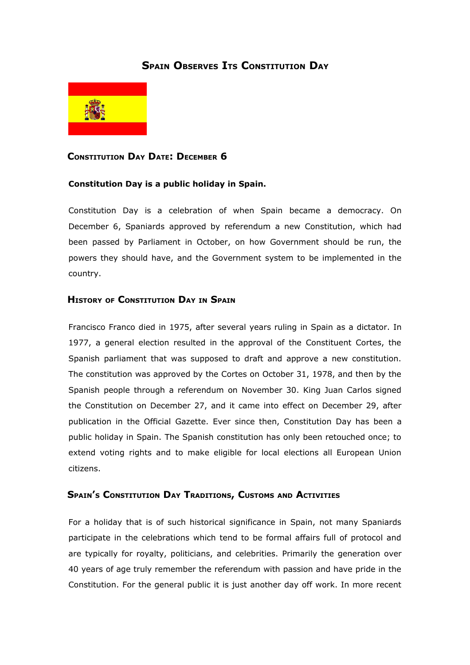# **SPAIN OBSERVES ITS CONSTITUTION DAY**



# **CONSTITUTION DAY DATE: DECEMBER 6**

#### **Constitution Day is a public holiday in Spain.**

Constitution Day is a celebration of when Spain became a democracy. On December 6, Spaniards approved by referendum a new Constitution, which had been passed by Parliament in October, on how Government should be run, the powers they should have, and the Government system to be implemented in the country.

## **HISTORY OF CONSTITUTION DAY IN SPAIN**

Francisco Franco died in 1975, after several years ruling in Spain as a dictator. In 1977, a general election resulted in the approval of the Constituent Cortes, the Spanish parliament that was supposed to draft and approve a new constitution. The constitution was approved by the Cortes on October 31, 1978, and then by the Spanish people through a referendum on November 30. King Juan Carlos signed the Constitution on December 27, and it came into effect on December 29, after publication in the Official Gazette. Ever since then, Constitution Day has been a public holiday in Spain. The Spanish constitution has only been retouched once; to extend voting rights and to make eligible for local elections all European Union citizens.

## **SPAIN'S CONSTITUTION DAY TRADITIONS, CUSTOMS AND ACTIVITIES**

For a holiday that is of such historical significance in Spain, not many Spaniards participate in the celebrations which tend to be formal affairs full of protocol and are typically for royalty, politicians, and celebrities. Primarily the generation over 40 years of age truly remember the referendum with passion and have pride in the Constitution. For the general public it is just another day off work. In more recent